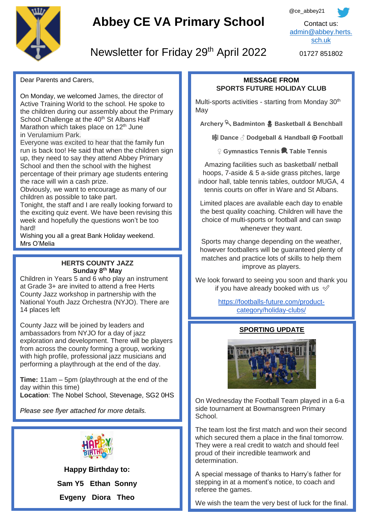

# **Abbey CE VA Primary School**



01727 851802

## Newsletter for Friday 29<sup>th</sup> April 2022

Dear Parents and Carers,

On Monday, we welcomed James, the director of Active Training World to the school. He spoke to the children during our assembly about the Primary School Challenge at the 40<sup>th</sup> St Albans Half Marathon which takes place on  $12<sup>th</sup>$  June in Verulamium Park.

Everyone was excited to hear that the family fun run is back too! He said that when the children sign up, they need to say they attend Abbey Primary School and then the school with the highest percentage of their primary age students entering the race will win a cash prize.

Obviously, we want to encourage as many of our children as possible to take part.

Tonight, the staff and I are really looking forward to the exciting quiz event. We have been revising this week and hopefully the questions won't be too hard!

Wishing you all a great Bank Holiday weekend. Mrs O'Melia

#### **HERTS COUNTY JAZZ Sunday 8 th May**

 14 places left Children in Years 5 and 6 who play an instrument at Grade 3+ are invited to attend a free Herts County Jazz workshop in partnership with the National Youth Jazz Orchestra (NYJO). There are

County Jazz will be joined by leaders and ambassadors from NYJO for a day of jazz exploration and development. There will be players from across the county forming a group, working with high profile, professional jazz musicians and performing a playthrough at the end of the day.

**Time:** 11am – 5pm (playthrough at the end of the day within this time) **Location**: The Nobel School, Stevenage, SG2 0HS

*Please see flyer attached for more details.*



**Happy Birthday to: Sam Y5 Ethan Sonny Evgeny Diora Theo**

### **MESSAGE FROM SPORTS FUTURE HOLIDAY CLUB**

Multi-sports activities - starting from Monday 30<sup>th</sup> **May** 

**Archery Badminton Basketball & Benchball**

**Dance ♂️ Dodgeball & Handball** ⚽ **Football**

**♀️ Gymnastics Tennis Table Tennis**

Amazing facilities such as basketball/ netball hoops, 7-aside & 5 a-side grass pitches, large indoor hall, table tennis tables, outdoor MUGA, 4 tennis courts on offer in Ware and St Albans.

Limited places are available each day to enable the best quality coaching. Children will have the choice of multi-sports or football and can swap whenever they want.

Sports may change depending on the weather, however footballers will be guaranteed plenty of matches and practice lots of skills to help them improve as players.

We look forward to seeing you soon and thank you if you have already booked with us  $\mathcal{\mathcal{Q}}$ 

> [https://footballs-future.com/product](https://footballs-future.com/product-category/holiday-clubs/)[category/holiday-clubs/](https://footballs-future.com/product-category/holiday-clubs/)

## **SPORTING UPDATE**



On Wednesday the Football Team played in a 6-a side tournament at Bowmansgreen Primary School.

The team lost the first match and won their second which secured them a place in the final tomorrow. They were a real credit to watch and should feel proud of their incredible teamwork and determination.

A special message of thanks to Harry's father for stepping in at a moment's notice, to coach and referee the games.

We wish the team the very best of luck for the final.